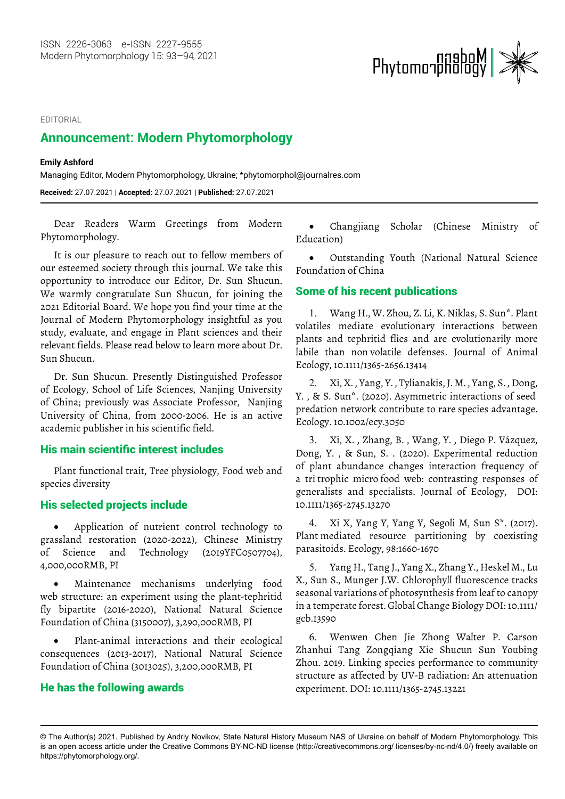#### EDITORIAL

# **Announcement: Modern Phytomorphology**

#### **Emily Ashford**

Managing Editor, Modern Phytomorphology, Ukraine; \*phytomorphol@journalres.com

**Received:** 27.07.2021 | **Accepted:** 27.07.2021 | **Published:** 27.07.2021

Dear Readers Warm Greetings from Modern Phytomorphology.

It is our pleasure to reach out to fellow members of our esteemed society through this journal. We take this opportunity to introduce our Editor, Dr. Sun Shucun. We warmly congratulate Sun Shucun, for joining the 2021 Editorial Board. We hope you find your time at the Journal of Modern Phytomorphology insightful as you study, evaluate, and engage in Plant sciences and their relevant fields. Please read below to learn more about Dr. Sun Shucun.

Dr. Sun Shucun. Presently Distinguished Professor of Ecology, School of Life Sciences, Nanjing University of China; previously was Associate Professor, Nanjing University of China, from 2000-2006. He is an active academic publisher in his scientific field.

# His main scientific interest includes

Plant functional trait, Tree physiology, Food web and species diversity

### His selected projects include

Application of nutrient control technology to grassland restoration (2020-2022), Chinese Ministry of Science and Technology (2019YFC0507704), 4,000,000RMB, PI

• Maintenance mechanisms underlying food web structure: an experiment using the plant-tephritid fly bipartite (2016-2020), National Natural Science Foundation of China (3150007), 3,290,000RMB, PI

• Plant-animal interactions and their ecological consequences (2013-2017), National Natural Science Foundation of China (3013025), 3,200,000RMB, PI

## He has the following awards

Changjiang Scholar (Chinese Ministry of Education)

**Phytomorphology** 

Outstanding Youth (National Natural Science Foundation of China

## Some of his recent publications

1. Wang H., W. Zhou, Z. Li, K. Niklas, S. Sun\*. Plant volatiles mediate evolutionary interactions between plants and tephritid flies and are evolutionarily more labile than non volatile defenses. Journal of Animal Ecology, 10.1111/1365-2656.13414

2. Xi, X. , Yang, Y. , Tylianakis, J. M. , Yang, S. , Dong, Y., & S. Sun\*. (2020). Asymmetric interactions of seed predation network contribute to rare species advantage. Ecology. 10.1002/ecy.3050

3. Xi, X. , Zhang, B. , Wang, Y. , Diego P. Vázquez, Dong, Y. , & Sun, S. . (2020). Experimental reduction of plant abundance changes interaction frequency of a tri trophic micro food web: contrasting responses of generalists and specialists. Journal of Ecology, DOI: 10.1111/1365-2745.13270

4. Xi X, Yang Y, Yang Y, Segoli M, Sun S\*. (2017). Plant mediated resource partitioning by coexisting parasitoids. Ecology, 98:1660-1670

5. Yang H., Tang J., Yang X., Zhang Y., Heskel M., Lu X., Sun S., Munger J.W. Chlorophyll fluorescence tracks seasonal variations of photosynthesis from leaf to canopy in a temperate forest. Global Change Biology DOI: 10.1111/ gcb.13590

6. Wenwen Chen Jie Zhong Walter P. Carson Zhanhui Tang Zongqiang Xie Shucun Sun Youbing Zhou. 2019. Linking species performance to community structure as affected by UV-B radiation: An attenuation experiment. DOI: 10.1111/1365-2745.13221

<sup>©</sup> The Author(s) 2021. Published by Andriy Novikov, State Natural History Museum NAS of Ukraine on behalf of Modern Phytomorphology. This is an open access article under the Creative Commons BY-NC-ND license (http://creativecommons.org/ licenses/by-nc-nd/4.0/) freely available on https://phytomorphology.org/.